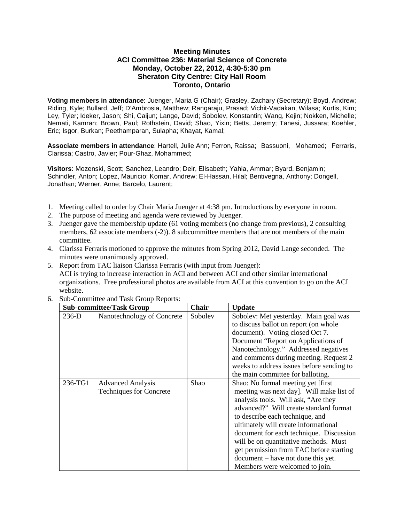## **Meeting Minutes ACI Committee 236: Material Science of Concrete Monday, October 22, 2012, 4:30-5:30 pm Sheraton City Centre: City Hall Room Toronto, Ontario**

**Voting members in attendance**: Juenger, Maria G (Chair); Grasley, Zachary (Secretary); Boyd, Andrew; Riding, Kyle; Bullard, Jeff; D'Ambrosia, Matthew; Rangaraju, Prasad; Vichit-Vadakan, Wilasa; Kurtis, Kim; Ley, Tyler; Ideker, Jason; Shi, Caijun; Lange, David; Sobolev, Konstantin; Wang, Kejin; Nokken, Michelle; Nemati, Kamran; Brown, Paul; Rothstein, David; Shao, Yixin; Betts, Jeremy; Tanesi, Jussara; Koehler, Eric; Isgor, Burkan; Peethamparan, Sulapha; Khayat, Kamal;

**Associate members in attendance**: Hartell, Julie Ann; Ferron, Raissa; Bassuoni, Mohamed; Ferraris, Clarissa; Castro, Javier; Pour-Ghaz, Mohammed;

**Visitors**: Mozenski, Scott; Sanchez, Leandro; Deir, Elisabeth; Yahia, Ammar; Byard, Benjamin; Schindler, Anton; Lopez, Mauricio; Komar, Andrew; El-Hassan, Hilal; Bentivegna, Anthony; Dongell, Jonathan; Werner, Anne; Barcelo, Laurent;

- 1. Meeting called to order by Chair Maria Juenger at 4:38 pm. Introductions by everyone in room.
- 2. The purpose of meeting and agenda were reviewed by Juenger.
- 3. Juenger gave the membership update (61 voting members (no change from previous), 2 consulting members, 62 associate members (-2)). 8 subcommittee members that are not members of the main committee.
- 4. Clarissa Ferraris motioned to approve the minutes from Spring 2012, David Lange seconded. The minutes were unanimously approved.
- 5. Report from TAC liaison Clarissa Ferraris (with input from Juenger): ACI is trying to increase interaction in ACI and between ACI and other similar international organizations. Free professional photos are available from ACI at this convention to go on the ACI website.
- 6. Sub-Committee and Task Group Reports:

| <b>Sub-committee/Task Group</b> |                                                            | <b>Chair</b> | <b>Update</b>                                                                                                                                                                                                                                                                                                                                                                                                                                                                           |
|---------------------------------|------------------------------------------------------------|--------------|-----------------------------------------------------------------------------------------------------------------------------------------------------------------------------------------------------------------------------------------------------------------------------------------------------------------------------------------------------------------------------------------------------------------------------------------------------------------------------------------|
| $236-D$                         | Nanotechnology of Concrete                                 | Sobolev      | Sobolev: Met yesterday. Main goal was<br>to discuss ballot on report (on whole<br>document). Voting closed Oct 7.<br>Document "Report on Applications of<br>Nanotechnology." Addressed negatives<br>and comments during meeting. Request 2<br>weeks to address issues before sending to                                                                                                                                                                                                 |
| 236-TG1                         | <b>Advanced Analysis</b><br><b>Techniques for Concrete</b> | Shao         | the main committee for balloting.<br>Shao: No formal meeting yet [first]<br>meeting was next day]. Will make list of<br>analysis tools. Will ask, "Are they<br>advanced?" Will create standard format<br>to describe each technique, and<br>ultimately will create informational<br>document for each technique. Discussion<br>will be on quantitative methods. Must<br>get permission from TAC before starting<br>document – have not done this yet.<br>Members were welcomed to join. |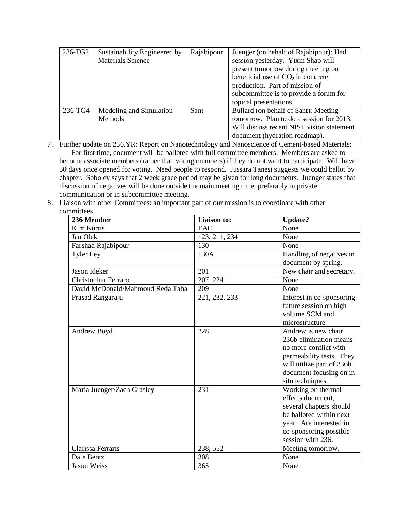| 236-TG2 | Sustainability Engineered by | Rajabipour | Juenger (on behalf of Rajabipour): Had    |
|---------|------------------------------|------------|-------------------------------------------|
|         | <b>Materials Science</b>     |            | session yesterday. Yixin Shao will        |
|         |                              |            | present tomorrow during meeting on        |
|         |                              |            | beneficial use of $CO2$ in concrete       |
|         |                              |            | production. Part of mission of            |
|         |                              |            | subcommittee is to provide a forum for    |
|         |                              |            | topical presentations.                    |
| 236-TG4 | Modeling and Simulation      | Sant       | Bullard (on behalf of Sant): Meeting      |
|         | <b>Methods</b>               |            | tomorrow. Plan to do a session for 2013.  |
|         |                              |            | Will discuss recent NIST vision statement |
|         |                              |            | document (hydration roadmap).             |

7. Further update on 236.YR: Report on Nanotechnology and Nanoscience of Cement-based Materials: For first time, document will be balloted with full committee members. Members are asked to become associate members (rather than voting members) if they do not want to participate. Will have 30 days once opened for voting. Need people to respond. Jussara Tanesi suggests we could ballot by chapter. Sobolev says that 2 week grace period may be given for long documents. Juenger states that discussion of negatives will be done outside the main meeting time, preferably in private communication or in subcommittee meeting.

8. Liaison with other Committees: an important part of our mission is to coordinate with other committees.

| 236 Member                       | Liaison to:   | <b>Update?</b>            |
|----------------------------------|---------------|---------------------------|
| <b>Kim Kurtis</b>                | EAC           | None                      |
| Jan Olek                         | 123, 211, 234 | None                      |
| Farshad Rajabipour               | 130           | None                      |
| <b>Tyler Ley</b>                 | 130A          | Handling of negatives in  |
|                                  |               | document by spring.       |
| Jason Ideker                     | 201           | New chair and secretary.  |
| <b>Christopher Ferraro</b>       | 207, 224      | None                      |
| David McDonald/Mahmoud Reda Taha | 209           | None                      |
| Prasad Rangaraju                 | 221, 232, 233 | Interest in co-sponsoring |
|                                  |               | future session on high    |
|                                  |               | volume SCM and            |
|                                  |               | microstructure.           |
| Andrew Boyd                      | 228           | Andrew is new chair.      |
|                                  |               | 236b elimination means    |
|                                  |               | no more conflict with     |
|                                  |               | permeability tests. They  |
|                                  |               | will utilize part of 236b |
|                                  |               | document focusing on in   |
|                                  |               | situ techniques.          |
| Maria Juenger/Zach Grasley       | 231           | Working on thermal        |
|                                  |               | effects document,         |
|                                  |               | several chapters should   |
|                                  |               | be balloted within next   |
|                                  |               | year. Are interested in   |
|                                  |               | co-sponsoring possible    |
|                                  |               | session with 236.         |
| Clarissa Ferraris                | 238, 552      | Meeting tomorrow.         |
| Dale Bentz                       | 308           | None                      |
| <b>Jason Weiss</b>               | 365           | None                      |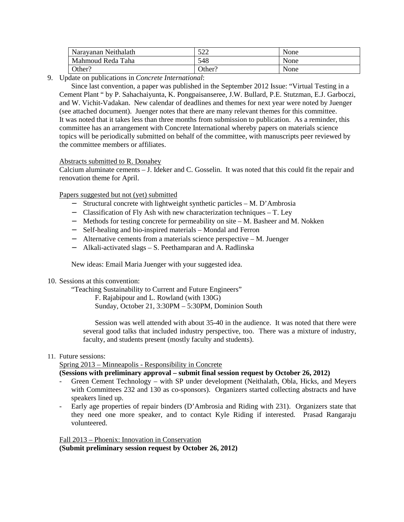| Narayanan Neithalath | 500<br>∟⊿ ب | None |
|----------------------|-------------|------|
| Mahmoud Reda Taha    | 548         | None |
| Other?               | Other?      | None |

9. Update on publications in *Concrete International*:

Since last convention, a paper was published in the September 2012 Issue: "Virtual Testing in a Cement Plant " by P. Sahachaiyunta, K. Pongpaisanseree, J.W. Bullard, P.E. Stutzman, E.J. Garboczi, and W. Vichit-Vadakan. New calendar of deadlines and themes for next year were noted by Juenger (see attached document). Juenger notes that there are many relevant themes for this committee. It was noted that it takes less than three months from submission to publication. As a reminder, this committee has an arrangement with Concrete International whereby papers on materials science topics will be periodically submitted on behalf of the committee, with manuscripts peer reviewed by the committee members or affiliates.

Abstracts submitted to R. Donahey

Calcium aluminate cements – J. Ideker and C. Gosselin. It was noted that this could fit the repair and renovation theme for April.

Papers suggested but not (yet) submitted

- − Structural concrete with lightweight synthetic particles M. D'Ambrosia
- − Classification of Fly Ash with new characterization techniques T. Ley
- − Methods for testing concrete for permeability on site M. Basheer and M. Nokken
- − Self-healing and bio-inspired materials Mondal and Ferron
- − Alternative cements from a materials science perspective M. Juenger
- − Alkali-activated slags S. Peethamparan and A. Radlinska

New ideas: Email Maria Juenger with your suggested idea.

10. Sessions at this convention:

"Teaching Sustainability to Current and Future Engineers"

F. Rajabipour and L. Rowland (with 130G)

Sunday, October 21, 3:30PM – 5:30PM, Dominion South

Session was well attended with about 35-40 in the audience. It was noted that there were several good talks that included industry perspective, too. There was a mixture of industry, faculty, and students present (mostly faculty and students).

#### 11. Future sessions:

Spring 2013 – Minneapolis - Responsibility in Concrete

# **(Sessions with preliminary approval – submit final session request by October 26, 2012)**

- Green Cement Technology with SP under development (Neithalath, Obla, Hicks, and Meyers with Committees 232 and 130 as co-sponsors). Organizers started collecting abstracts and have speakers lined up.
- Early age properties of repair binders (D'Ambrosia and Riding with 231). Organizers state that they need one more speaker, and to contact Kyle Riding if interested. Prasad Rangaraju volunteered.

Fall 2013 – Phoenix: Innovation in Conservation **(Submit preliminary session request by October 26, 2012)**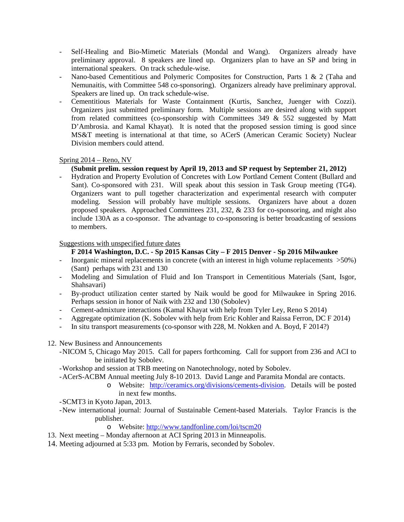- Self-Healing and Bio-Mimetic Materials (Mondal and Wang). Organizers already have preliminary approval. 8 speakers are lined up. Organizers plan to have an SP and bring in international speakers. On track schedule-wise.
- Nano-based Cementitious and Polymeric Composites for Construction, Parts 1 & 2 (Taha and Nemunaitis, with Committee 548 co-sponsoring). Organizers already have preliminary approval. Speakers are lined up. On track schedule-wise.
- Cementitious Materials for Waste Containment (Kurtis, Sanchez, Juenger with Cozzi). Organizers just submitted preliminary form. Multiple sessions are desired along with support from related committees (co-sponsorship with Committees 349  $&$  552 suggested by Matt D'Ambrosia. and Kamal Khayat). It is noted that the proposed session timing is good since MS&T meeting is international at that time, so ACerS (American Ceramic Society) Nuclear Division members could attend.

## Spring 2014 – Reno, NV

## **(Submit prelim. session request by April 19, 2013 and SP request by September 21, 2012)**

- Hydration and Property Evolution of Concretes with Low Portland Cement Content (Bullard and Sant). Co-sponsored with 231. Will speak about this session in Task Group meeting (TG4). Organizers want to pull together characterization and experimental research with computer modeling. Session will probably have multiple sessions. Organizers have about a dozen proposed speakers. Approached Committees 231, 232, & 233 for co-sponsoring, and might also include 130A as a co-sponsor. The advantage to co-sponsoring is better broadcasting of sessions to members.

#### Suggestions with unspecified future dates

## **F 2014 Washington, D.C. - Sp 2015 Kansas City – F 2015 Denver - Sp 2016 Milwaukee**

- Inorganic mineral replacements in concrete (with an interest in high volume replacements >50%) (Sant) perhaps with 231 and 130
- Modeling and Simulation of Fluid and Ion Transport in Cementitious Materials (Sant, Isgor, Shahsavari)
- By-product utilization center started by Naik would be good for Milwaukee in Spring 2016. Perhaps session in honor of Naik with 232 and 130 (Sobolev)
- Cement-admixture interactions (Kamal Khayat with help from Tyler Ley, Reno S 2014)
- Aggregate optimization (K. Sobolev with help from Eric Kohler and Raissa Ferron, DC F 2014)
- In situ transport measurements (co-sponsor with 228, M. Nokken and A. Boyd, F 2014?)
- 12. New Business and Announcements
	- -NICOM 5, Chicago May 2015. Call for papers forthcoming. Call for support from 236 and ACI to be initiated by Sobolev.
	- -Workshop and session at TRB meeting on Nanotechnology, noted by Sobolev.
	- -ACerS-ACBM Annual meeting July 8-10 2013. David Lange and Paramita Mondal are contacts.
		- o Website: http://ceramics.org/divisions/cements-division. Details will be posted in next few months.

-SCMT3 in Kyoto Japan, 2013.

- -New international journal: Journal of Sustainable Cement-based Materials. Taylor Francis is the publisher.
	- o Website: http://www.tandfonline.com/loi/tscm20
- 13. Next meeting Monday afternoon at ACI Spring 2013 in Minneapolis.
- 14. Meeting adjourned at 5:33 pm. Motion by Ferraris, seconded by Sobolev.